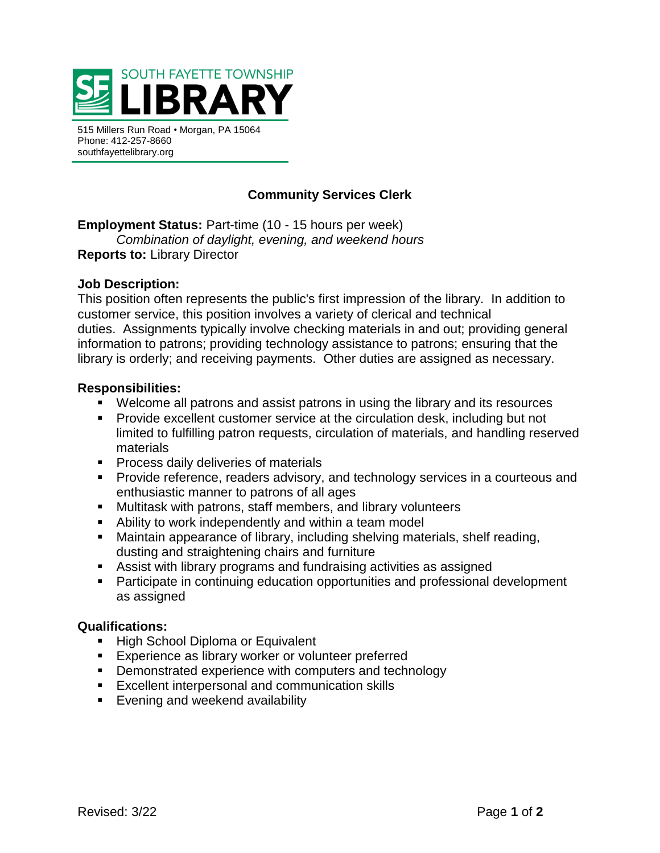

515 Millers Run Road • Morgan, PA 15064 Phone: 412-257-8660 southfayettelibrary.org

# **Community Services Clerk**

**Employment Status:** Part-time (10 - 15 hours per week) *Combination of daylight, evening, and weekend hours*

**Reports to:** Library Director

# **Job Description:**

This position often represents the public's first impression of the library. In addition to customer service, this position involves a variety of clerical and technical duties. Assignments typically involve checking materials in and out; providing general information to patrons; providing technology assistance to patrons; ensuring that the library is orderly; and receiving payments. Other duties are assigned as necessary.

## **Responsibilities:**

- Welcome all patrons and assist patrons in using the library and its resources
- Provide excellent customer service at the circulation desk, including but not limited to fulfilling patron requests, circulation of materials, and handling reserved materials
- **•** Process daily deliveries of materials
- **•** Provide reference, readers advisory, and technology services in a courteous and enthusiastic manner to patrons of all ages
- Multitask with patrons, staff members, and library volunteers
- Ability to work independently and within a team model
- Maintain appearance of library, including shelving materials, shelf reading, dusting and straightening chairs and furniture
- Assist with library programs and fundraising activities as assigned
- Participate in continuing education opportunities and professional development as assigned

#### **Qualifications:**

- High School Diploma or Equivalent
- Experience as library worker or volunteer preferred
- Demonstrated experience with computers and technology
- Excellent interpersonal and communication skills
- Evening and weekend availability